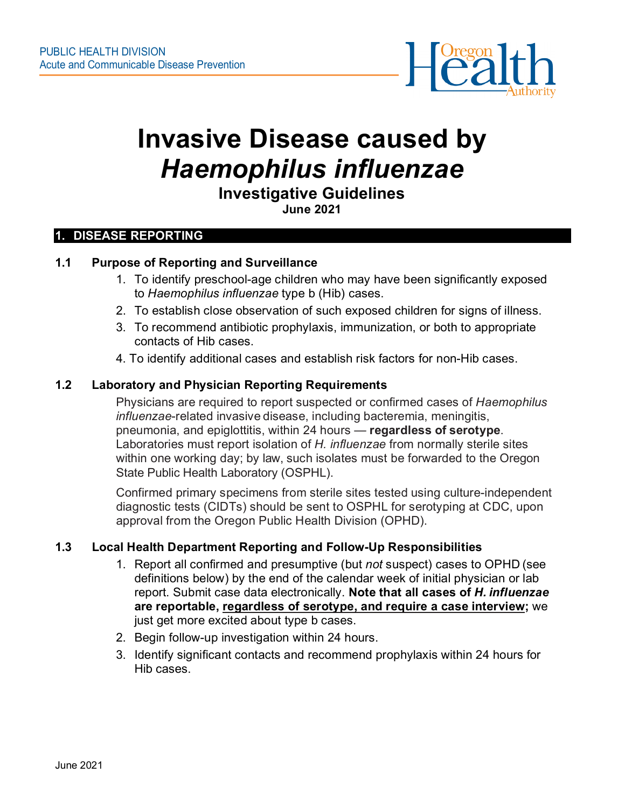

# **Invasive Disease caused by**  *Haemophilus influenzae*

#### **Investigative Guidelines June 2021**

#### **1. DISEASE REPORTING**

#### **1.1 Purpose of Reporting and Surveillance**

- 1. To identify preschool-age children who may have been significantly exposed to *Haemophilus influenzae* type b (Hib) cases.
- 2. To establish close observation of such exposed children for signs of illness.
- 3. To recommend antibiotic prophylaxis, immunization, or both to appropriate contacts of Hib cases.
- 4. To identify additional cases and establish risk factors for non-Hib cases.

#### **1.2 Laboratory and Physician Reporting Requirements**

Physicians are required to report suspected or confirmed cases of *Haemophilus influenzae*-related invasive disease, including bacteremia, meningitis, pneumonia, and epiglottitis, within 24 hours — **regardless of serotype**. Laboratories must report isolation of *H. influenzae* from normally sterile sites within one working day; by law, such isolates must be forwarded to the Oregon State Public Health Laboratory (OSPHL).

Confirmed primary specimens from sterile sites tested using culture-independent diagnostic tests (CIDTs) should be sent to OSPHL for serotyping at CDC, upon approval from the Oregon Public Health Division (OPHD).

# **1.3 Local Health Department Reporting and Follow-Up Responsibilities**

- 1. Report all confirmed and presumptive (but *not* suspect) cases to OPHD (see definitions below) by the end of the calendar week of initial physician or lab report. Submit case data electronically. **Note that all cases of** *H. influenzae*  **are reportable, regardless of serotype, and require a case interview;** we just get more excited about type b cases.
- 2. Begin follow-up investigation within 24 hours.
- 3. Identify significant contacts and recommend prophylaxis within 24 hours for Hib cases.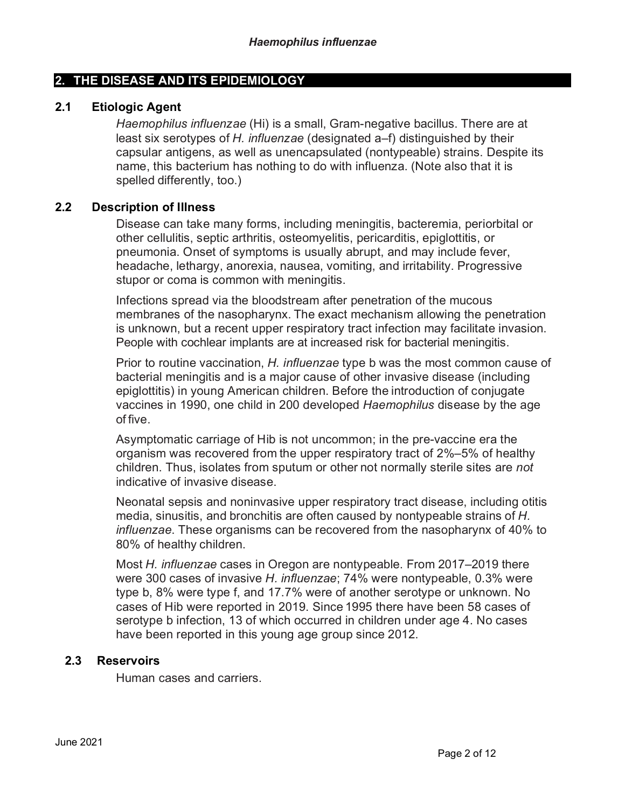#### **2. THE DISEASE AND ITS EPIDEMIOLOGY**

#### **2.1 Etiologic Agent**

*Haemophilus influenzae* (Hi) is a small, Gram-negative bacillus. There are at least six serotypes of *H. influenzae* (designated a–f) distinguished by their capsular antigens, as well as unencapsulated (nontypeable) strains. Despite its name, this bacterium has nothing to do with influenza. (Note also that it is spelled differently, too.)

#### **2.2 Description of Illness**

Disease can take many forms, including meningitis, bacteremia, periorbital or other cellulitis, septic arthritis, osteomyelitis, pericarditis, epiglottitis, or pneumonia. Onset of symptoms is usually abrupt, and may include fever, headache, lethargy, anorexia, nausea, vomiting, and irritability. Progressive stupor or coma is common with meningitis.

Infections spread via the bloodstream after penetration of the mucous membranes of the nasopharynx. The exact mechanism allowing the penetration is unknown, but a recent upper respiratory tract infection may facilitate invasion. People with cochlear implants are at increased risk for bacterial meningitis.

Prior to routine vaccination, *H. influenzae* type b was the most common cause of bacterial meningitis and is a major cause of other invasive disease (including epiglottitis) in young American children. Before the introduction of conjugate vaccines in 1990, one child in 200 developed *Haemophilus* disease by the age of five.

Asymptomatic carriage of Hib is not uncommon; in the pre-vaccine era the organism was recovered from the upper respiratory tract of 2%–5% of healthy children. Thus, isolates from sputum or other not normally sterile sites are *not*  indicative of invasive disease.

Neonatal sepsis and noninvasive upper respiratory tract disease, including otitis media, sinusitis, and bronchitis are often caused by nontypeable strains of *H. influenzae*. These organisms can be recovered from the nasopharynx of 40% to 80% of healthy children.

Most *H. influenzae* cases in Oregon are nontypeable. From 2017–2019 there were 300 cases of invasive *H. influenzae*; 74% were nontypeable, 0.3% were type b, 8% were type f, and 17.7% were of another serotype or unknown. No cases of Hib were reported in 2019. Since 1995 there have been 58 cases of serotype b infection, 13 of which occurred in children under age 4. No cases have been reported in this young age group since 2012.

#### **2.3 Reservoirs**

Human cases and carriers.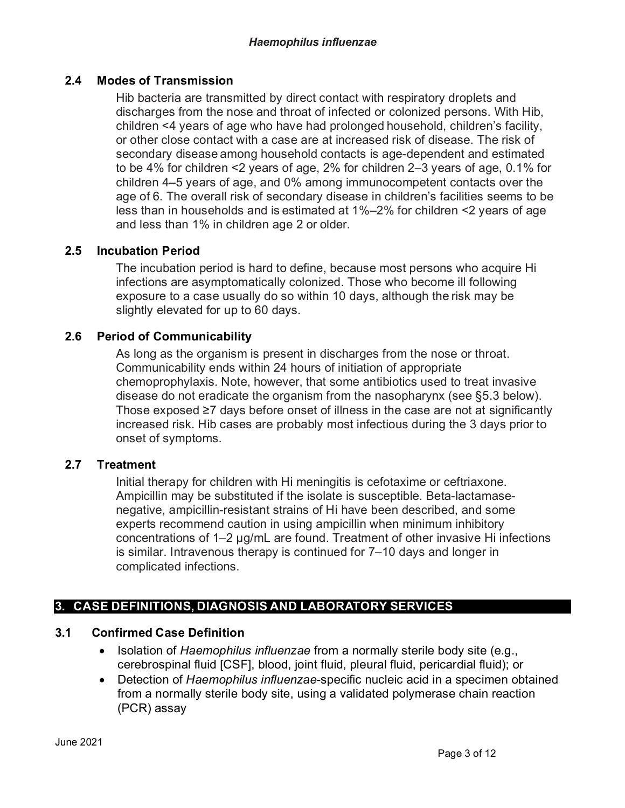# **2.4 Modes of Transmission**

Hib bacteria are transmitted by direct contact with respiratory droplets and discharges from the nose and throat of infected or colonized persons. With Hib, children <4 years of age who have had prolonged household, children's facility, or other close contact with a case are at increased risk of disease. The risk of secondary disease among household contacts is age-dependent and estimated to be 4% for children <2 years of age, 2% for children 2–3 years of age, 0.1% for children 4–5 years of age, and 0% among immunocompetent contacts over the age of 6. The overall risk of secondary disease in children's facilities seems to be less than in households and is estimated at 1%–2% for children <2 years of age and less than 1% in children age 2 or older.

#### **2.5 Incubation Period**

The incubation period is hard to define, because most persons who acquire Hi infections are asymptomatically colonized. Those who become ill following exposure to a case usually do so within 10 days, although the risk may be slightly elevated for up to 60 days.

#### **2.6 Period of Communicability**

As long as the organism is present in discharges from the nose or throat. Communicability ends within 24 hours of initiation of appropriate chemoprophylaxis. Note, however, that some antibiotics used to treat invasive disease do not eradicate the organism from the nasopharynx (see §5.3 below). Those exposed ≥7 days before onset of illness in the case are not at significantly increased risk. Hib cases are probably most infectious during the 3 days prior to onset of symptoms.

#### **2.7 Treatment**

Initial therapy for children with Hi meningitis is cefotaxime or ceftriaxone. Ampicillin may be substituted if the isolate is susceptible. Beta-lactamasenegative, ampicillin-resistant strains of Hi have been described, and some experts recommend caution in using ampicillin when minimum inhibitory concentrations of 1–2 µg/mL are found. Treatment of other invasive Hi infections is similar. Intravenous therapy is continued for 7–10 days and longer in complicated infections.

#### **3. CASE DEFINITIONS, DIAGNOSIS AND LABORATORY SERVICES**

#### **3.1 Confirmed Case Definition**

- Isolation of *Haemophilus influenzae* from a normally sterile body site (e.g., cerebrospinal fluid [CSF], blood, joint fluid, pleural fluid, pericardial fluid); or
- Detection of *Haemophilus influenzae*-specific nucleic acid in a specimen obtained from a normally sterile body site, using a validated polymerase chain reaction (PCR) assay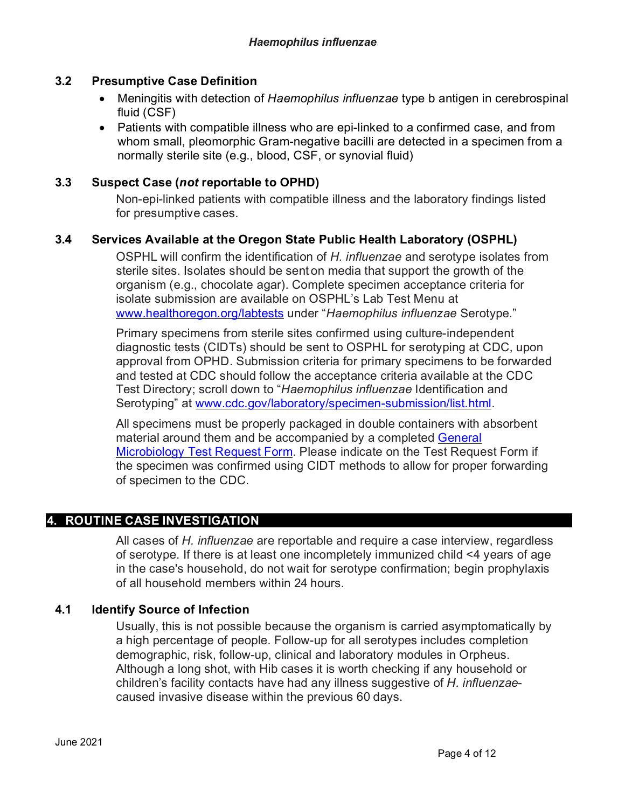## **3.2 Presumptive Case Definition**

- Meningitis with detection of *Haemophilus influenzae* type b antigen in cerebrospinal fluid (CSF)
- Patients with compatible illness who are epi-linked to a confirmed case, and from whom small, pleomorphic Gram-negative bacilli are detected in a specimen from a normally sterile site (e.g., blood, CSF, or synovial fluid)

#### **3.3 Suspect Case (***not* **reportable to OPHD)**

Non-epi-linked patients with compatible illness and the laboratory findings listed for presumptive cases.

# **3.4 Services Available at the Oregon State Public Health Laboratory (OSPHL)**

OSPHL will confirm the identification of *H. influenzae* and serotype isolates from sterile sites. Isolates should be sent on media that support the growth of the organism (e.g., chocolate agar). Complete specimen acceptance criteria for isolate submission are available on OSPHL's Lab Test Menu at [www.healthoregon.org/labtests](http://www.healthoregon.org/labtests) under "*Haemophilus influenzae* Serotype."

Primary specimens from sterile sites confirmed using culture-independent diagnostic tests (CIDTs) should be sent to OSPHL for serotyping at CDC, upon approval from OPHD. Submission criteria for primary specimens to be forwarded and tested at CDC should follow the acceptance criteria available at the CDC Test Directory; scroll down to "*Haemophilus influenzae* Identification and Serotyping" at [www.cdc.gov/laboratory/specimen-submission/list.html.](http://www.cdc.gov/laboratory/specimen-submission/list.html)

All specimens must be properly packaged in double containers with absorbent material around them and be accompanied by a completed [General](https://www.oregon.gov/oha/PH/LABORATORYSERVICES/COMMUNICABLEDISEASETESTING/Pages/forms-kits.aspx)  [Microbiology Test Request Form.](https://www.oregon.gov/oha/PH/LABORATORYSERVICES/COMMUNICABLEDISEASETESTING/Pages/forms-kits.aspx) Please indicate on the Test Request Form if the specimen was confirmed using CIDT methods to allow for proper forwarding of specimen to the CDC.

# **4. ROUTINE CASE INVESTIGATION**

All cases of *H. influenzae* are reportable and require a case interview, regardless of serotype. If there is at least one incompletely immunized child <4 years of age in the case's household, do not wait for serotype confirmation; begin prophylaxis of all household members within 24 hours.

# **4.1 Identify Source of Infection**

Usually, this is not possible because the organism is carried asymptomatically by a high percentage of people. Follow-up for all serotypes includes completion demographic, risk, follow-up, clinical and laboratory modules in Orpheus. Although a long shot, with Hib cases it is worth checking if any household or children's facility contacts have had any illness suggestive of *H. influenzae*caused invasive disease within the previous 60 days.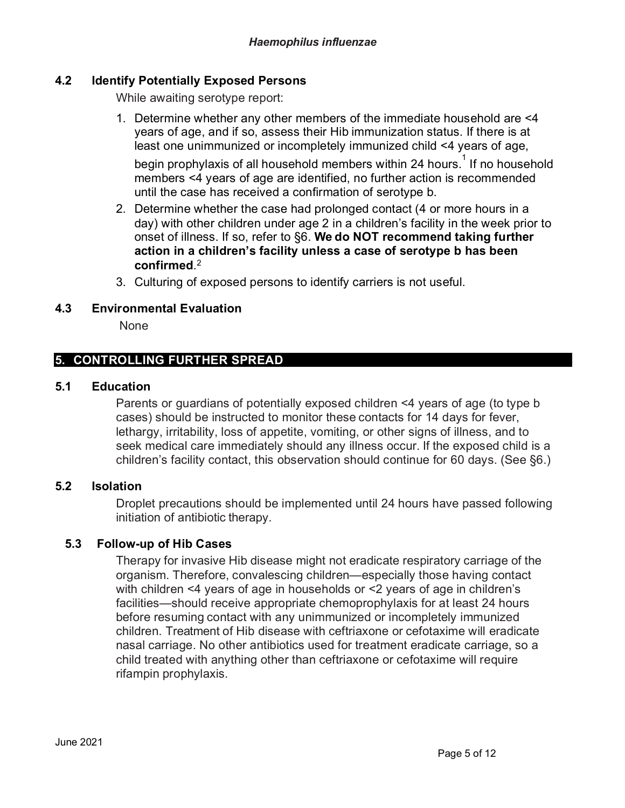#### **4.2 Identify Potentially Exposed Persons**

While awaiting serotype report:

1. Determine whether any other members of the immediate household are <4 years of age, and if so, assess their Hib immunization status. If there is at least one unimmunized or incompletely immunized child <4 years of age,

begin prophylaxis of all household members within 24 hours. $^\mathrm{1}$  If no household members <4 years of age are identified, no further action is recommended until the case has received a confirmation of serotype b.

- 2. Determine whether the case had prolonged contact (4 or more hours in a day) with other children under age 2 in a children's facility in the week prior to onset of illness. If so, refer to §6. **We do NOT recommend taking further action in a children's facility unless a case of serotype b has been confirmed**. 2
- 3. Culturing of exposed persons to identify carriers is not useful.

#### **4.3 Environmental Evaluation**

None

# **5. CONTROLLING FURTHER SPREAD**

#### **5.1 Education**

Parents or guardians of potentially exposed children <4 years of age (to type b cases) should be instructed to monitor these contacts for 14 days for fever, lethargy, irritability, loss of appetite, vomiting, or other signs of illness, and to seek medical care immediately should any illness occur. If the exposed child is a children's facility contact, this observation should continue for 60 days. (See §6.)

#### **5.2 Isolation**

Droplet precautions should be implemented until 24 hours have passed following initiation of antibiotic therapy.

#### **5.3 Follow-up of Hib Cases**

Therapy for invasive Hib disease might not eradicate respiratory carriage of the organism. Therefore, convalescing children—especially those having contact with children <4 years of age in households or <2 years of age in children's facilities—should receive appropriate chemoprophylaxis for at least 24 hours before resuming contact with any unimmunized or incompletely immunized children. Treatment of Hib disease with ceftriaxone or cefotaxime will eradicate nasal carriage. No other antibiotics used for treatment eradicate carriage, so a child treated with anything other than ceftriaxone or cefotaxime will require rifampin prophylaxis.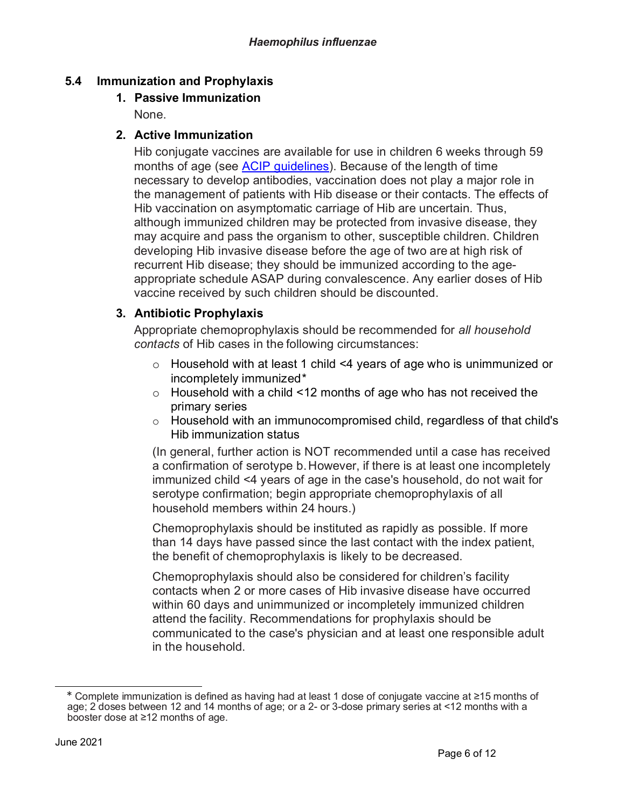# **5.4 Immunization and Prophylaxis**

## **1. Passive Immunization**

None.

## **2. Active Immunization**

Hib conjugate vaccines are available for use in children 6 weeks through 59 months of age (see [ACIP guidelines\)](https://www.cdc.gov/vaccines/hcp/acip-recs/vacc-specific/hib.html). Because of the length of time necessary to develop antibodies, vaccination does not play a major role in the management of patients with Hib disease or their contacts. The effects of Hib vaccination on asymptomatic carriage of Hib are uncertain. Thus, although immunized children may be protected from invasive disease, they may acquire and pass the organism to other, susceptible children. Children developing Hib invasive disease before the age of two are at high risk of recurrent Hib disease; they should be immunized according to the ageappropriate schedule ASAP during convalescence. Any earlier doses of Hib vaccine received by such children should be discounted.

# **3. Antibiotic Prophylaxis**

Appropriate chemoprophylaxis should be recommended for *all household contacts* of Hib cases in the following circumstances:

- o Household with at least 1 child <4 years of age who is unimmunized or incompletely immunized[\\*](#page-5-0)
- o Household with a child <12 months of age who has not received the primary series
- o Household with an immunocompromised child, regardless of that child's Hib immunization status

(In general, further action is NOT recommended until a case has received a confirmation of serotype b.However, if there is at least one incompletely immunized child <4 years of age in the case's household, do not wait for serotype confirmation; begin appropriate chemoprophylaxis of all household members within 24 hours.)

Chemoprophylaxis should be instituted as rapidly as possible. If more than 14 days have passed since the last contact with the index patient, the benefit of chemoprophylaxis is likely to be decreased.

Chemoprophylaxis should also be considered for children's facility contacts when 2 or more cases of Hib invasive disease have occurred within 60 days and unimmunized or incompletely immunized children attend the facility. Recommendations for prophylaxis should be communicated to the case's physician and at least one responsible adult in the household.

<span id="page-5-0"></span><sup>\*</sup> Complete immunization is defined as having had at least 1 dose of conjugate vaccine at ≥15 months of age; 2 doses between 12 and 14 months of age; or a 2- or 3-dose primary series at <12 months with a booster dose at ≥12 months of age.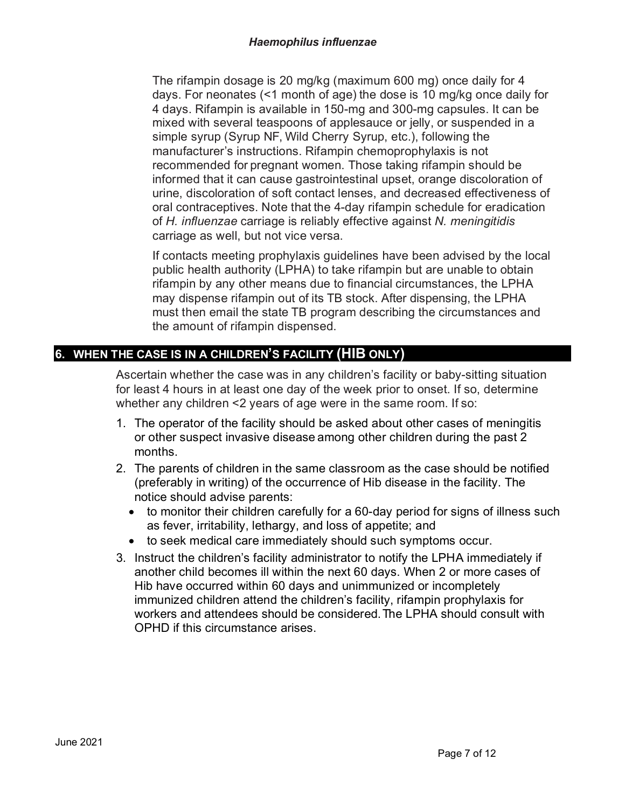The rifampin dosage is 20 mg/kg (maximum 600 mg) once daily for 4 days. For neonates (<1 month of age) the dose is 10 mg/kg once daily for 4 days. Rifampin is available in 150-mg and 300-mg capsules. It can be mixed with several teaspoons of applesauce or jelly, or suspended in a simple syrup (Syrup NF, Wild Cherry Syrup, etc.), following the manufacturer's instructions. Rifampin chemoprophylaxis is not recommended for pregnant women. Those taking rifampin should be informed that it can cause gastrointestinal upset, orange discoloration of urine, discoloration of soft contact lenses, and decreased effectiveness of oral contraceptives. Note that the 4-day rifampin schedule for eradication of *H. influenzae* carriage is reliably effective against *N. meningitidis* carriage as well, but not vice versa.

If contacts meeting prophylaxis guidelines have been advised by the local public health authority (LPHA) to take rifampin but are unable to obtain rifampin by any other means due to financial circumstances, the LPHA may dispense rifampin out of its TB stock. After dispensing, the LPHA must then email the state TB program describing the circumstances and the amount of rifampin dispensed.

# **6. WHEN THE CASE IS IN A CHILDREN'S FACILITY (HIB ONLY)**

Ascertain whether the case was in any children's facility or baby-sitting situation for least 4 hours in at least one day of the week prior to onset. If so, determine whether any children <2 years of age were in the same room. If so:

- 1. The operator of the facility should be asked about other cases of meningitis or other suspect invasive disease among other children during the past 2 months.
- 2. The parents of children in the same classroom as the case should be notified (preferably in writing) of the occurrence of Hib disease in the facility. The notice should advise parents:
	- to monitor their children carefully for a 60-day period for signs of illness such as fever, irritability, lethargy, and loss of appetite; and
	- to seek medical care immediately should such symptoms occur.
- 3. Instruct the children's facility administrator to notify the LPHA immediately if another child becomes ill within the next 60 days. When 2 or more cases of Hib have occurred within 60 days and unimmunized or incompletely immunized children attend the children's facility, rifampin prophylaxis for workers and attendees should be considered. The LPHA should consult with OPHD if this circumstance arises.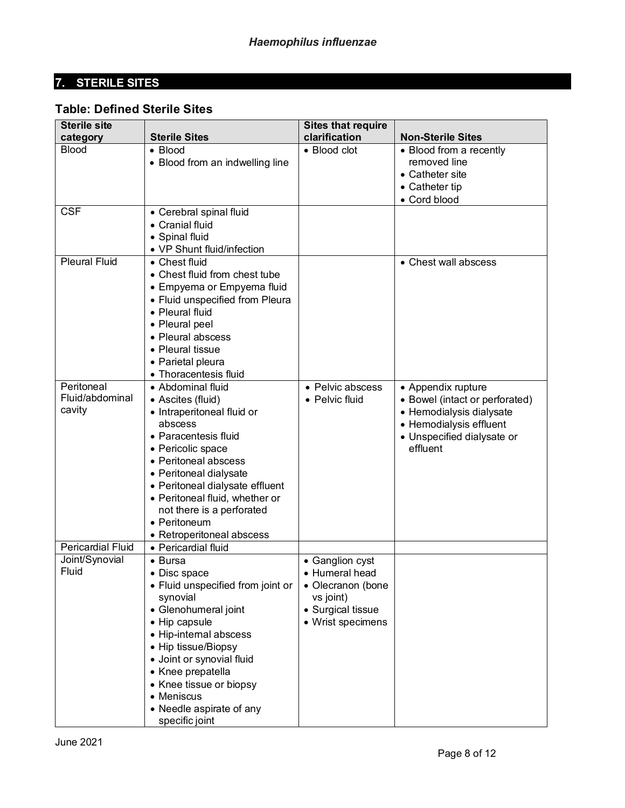# **7. STERILE SITES**

# **Table: Defined Sterile Sites**

| <b>Sterile site</b>                                             |                                                                                                                                                                                                                                                                                                                                                                                                                                                                                                                                                                              | <b>Sites that require</b>                                                                                             |                                                                                                                                                                               |
|-----------------------------------------------------------------|------------------------------------------------------------------------------------------------------------------------------------------------------------------------------------------------------------------------------------------------------------------------------------------------------------------------------------------------------------------------------------------------------------------------------------------------------------------------------------------------------------------------------------------------------------------------------|-----------------------------------------------------------------------------------------------------------------------|-------------------------------------------------------------------------------------------------------------------------------------------------------------------------------|
| category                                                        | <b>Sterile Sites</b>                                                                                                                                                                                                                                                                                                                                                                                                                                                                                                                                                         | clarification                                                                                                         | <b>Non-Sterile Sites</b>                                                                                                                                                      |
| <b>Blood</b>                                                    | $\bullet$ Blood<br>• Blood from an indwelling line                                                                                                                                                                                                                                                                                                                                                                                                                                                                                                                           | $\bullet$ Blood clot                                                                                                  | • Blood from a recently<br>removed line<br>• Catheter site<br>• Catheter tip<br>• Cord blood                                                                                  |
| <b>CSF</b>                                                      | • Cerebral spinal fluid<br>• Cranial fluid<br>• Spinal fluid<br>• VP Shunt fluid/infection                                                                                                                                                                                                                                                                                                                                                                                                                                                                                   |                                                                                                                       |                                                                                                                                                                               |
| <b>Pleural Fluid</b><br>Peritoneal<br>Fluid/abdominal<br>cavity | • Chest fluid<br>• Chest fluid from chest tube<br>• Empyema or Empyema fluid<br>• Fluid unspecified from Pleura<br>• Pleural fluid<br>• Pleural peel<br>• Pleural abscess<br>• Pleural tissue<br>• Parietal pleura<br>• Thoracentesis fluid<br>• Abdominal fluid<br>• Ascites (fluid)<br>• Intraperitoneal fluid or<br>abscess<br>• Paracentesis fluid<br>• Pericolic space<br>• Peritoneal abscess<br>• Peritoneal dialysate<br>• Peritoneal dialysate effluent<br>• Peritoneal fluid, whether or<br>not there is a perforated<br>• Peritoneum<br>• Retroperitoneal abscess | • Pelvic abscess<br>• Pelvic fluid                                                                                    | • Chest wall abscess<br>• Appendix rupture<br>• Bowel (intact or perforated)<br>• Hemodialysis dialysate<br>• Hemodialysis effluent<br>• Unspecified dialysate or<br>effluent |
| <b>Pericardial Fluid</b>                                        | • Pericardial fluid                                                                                                                                                                                                                                                                                                                                                                                                                                                                                                                                                          |                                                                                                                       |                                                                                                                                                                               |
| Joint/Synovial<br>Fluid                                         | $\bullet$ Bursa<br>$\bullet$ Disc space<br>• Fluid unspecified from joint or<br>synovial<br>• Glenohumeral joint<br>• Hip capsule<br>• Hip-internal abscess<br>• Hip tissue/Biopsy<br>· Joint or synovial fluid<br>• Knee prepatella<br>• Knee tissue or biopsy<br>$\bullet$ Meniscus<br>• Needle aspirate of any<br>specific joint                                                                                                                                                                                                                                          | • Ganglion cyst<br>$\bullet$ Humeral head<br>• Olecranon (bone<br>vs joint)<br>• Surgical tissue<br>• Wrist specimens |                                                                                                                                                                               |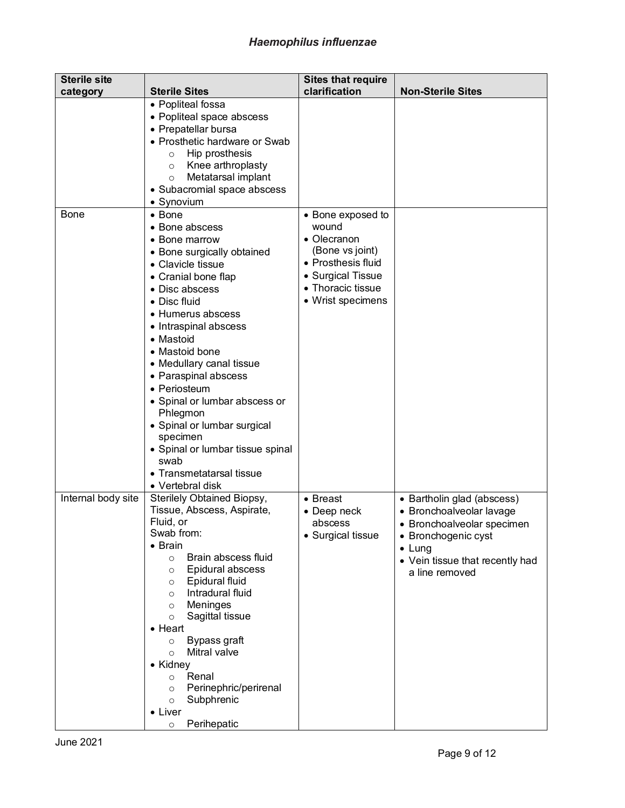| <b>Sterile site</b> |                                                                                                                                                                                                                                                                                                                                                                                                                                                                                                             | <b>Sites that require</b>                                                                                                                         |                                                                                                                                                                                    |
|---------------------|-------------------------------------------------------------------------------------------------------------------------------------------------------------------------------------------------------------------------------------------------------------------------------------------------------------------------------------------------------------------------------------------------------------------------------------------------------------------------------------------------------------|---------------------------------------------------------------------------------------------------------------------------------------------------|------------------------------------------------------------------------------------------------------------------------------------------------------------------------------------|
| category            | <b>Sterile Sites</b>                                                                                                                                                                                                                                                                                                                                                                                                                                                                                        | clarification                                                                                                                                     | <b>Non-Sterile Sites</b>                                                                                                                                                           |
|                     | • Popliteal fossa<br>• Popliteal space abscess<br>• Prepatellar bursa<br>• Prosthetic hardware or Swab<br>Hip prosthesis<br>$\circ$<br>Knee arthroplasty<br>$\circ$<br>Metatarsal implant<br>$\circ$<br>• Subacromial space abscess<br>• Synovium                                                                                                                                                                                                                                                           |                                                                                                                                                   |                                                                                                                                                                                    |
| <b>Bone</b>         | $\bullet$ Bone<br>• Bone abscess<br>• Bone marrow<br>• Bone surgically obtained<br>• Clavicle tissue<br>• Cranial bone flap<br>• Disc abscess<br>• Disc fluid<br>• Humerus abscess<br>• Intraspinal abscess<br>• Mastoid<br>• Mastoid bone<br>• Medullary canal tissue<br>• Paraspinal abscess<br>• Periosteum<br>• Spinal or lumbar abscess or<br>Phlegmon<br>• Spinal or lumbar surgical<br>specimen<br>• Spinal or lumbar tissue spinal<br>swab<br>• Transmetatarsal tissue<br>• Vertebral disk          | • Bone exposed to<br>wound<br>• Olecranon<br>(Bone vs joint)<br>• Prosthesis fluid<br>• Surgical Tissue<br>• Thoracic tissue<br>• Wrist specimens |                                                                                                                                                                                    |
| Internal body site  | Sterilely Obtained Biopsy,<br>Tissue, Abscess, Aspirate,<br>Fluid, or<br>Swab from:<br>$\bullet$ Brain<br>Brain abscess fluid<br>$\circ$<br>Epidural abscess<br>$\circ$<br>Epidural fluid<br>$\circ$<br>Intradural fluid<br>$\circ$<br>Meninges<br>$\circ$<br>Sagittal tissue<br>$\circ$<br>$\bullet$ Heart<br>Bypass graft<br>$\circ$<br>Mitral valve<br>$\circ$<br>• Kidney<br>Renal<br>$\circ$<br>Perinephric/perirenal<br>$\circ$<br>Subphrenic<br>$\circ$<br>$\bullet$ Liver<br>Perihepatic<br>$\circ$ | • Breast<br>• Deep neck<br>abscess<br>• Surgical tissue                                                                                           | • Bartholin glad (abscess)<br>• Bronchoalveolar lavage<br>• Bronchoalveolar specimen<br>• Bronchogenic cyst<br>$\bullet$ Lung<br>• Vein tissue that recently had<br>a line removed |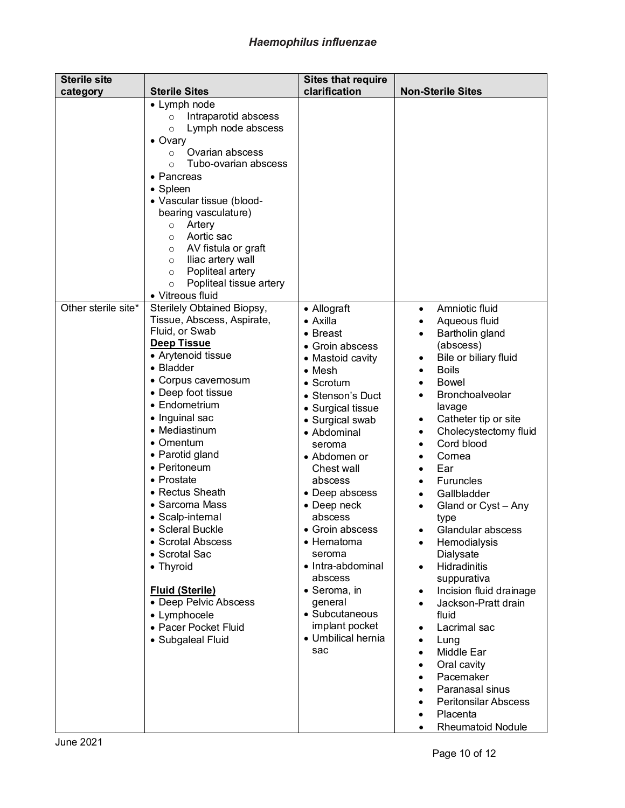# *Haemophilus influenzae*

| <b>Sterile site</b> |                                                                                                                                                                                                                                                                                                                                                                                                                                                                                                                                                         | <b>Sites that require</b>                                                                                                                                                                                                                                                                                                                                                                                                                                        |                                                                                                                                                                                                                                                                                                                                                                                                                                                                                                                                                                                                                                                                                                                                                                                                                                                                      |
|---------------------|---------------------------------------------------------------------------------------------------------------------------------------------------------------------------------------------------------------------------------------------------------------------------------------------------------------------------------------------------------------------------------------------------------------------------------------------------------------------------------------------------------------------------------------------------------|------------------------------------------------------------------------------------------------------------------------------------------------------------------------------------------------------------------------------------------------------------------------------------------------------------------------------------------------------------------------------------------------------------------------------------------------------------------|----------------------------------------------------------------------------------------------------------------------------------------------------------------------------------------------------------------------------------------------------------------------------------------------------------------------------------------------------------------------------------------------------------------------------------------------------------------------------------------------------------------------------------------------------------------------------------------------------------------------------------------------------------------------------------------------------------------------------------------------------------------------------------------------------------------------------------------------------------------------|
| category            | <b>Sterile Sites</b>                                                                                                                                                                                                                                                                                                                                                                                                                                                                                                                                    | clarification                                                                                                                                                                                                                                                                                                                                                                                                                                                    | <b>Non-Sterile Sites</b>                                                                                                                                                                                                                                                                                                                                                                                                                                                                                                                                                                                                                                                                                                                                                                                                                                             |
|                     | • Lymph node<br>Intraparotid abscess<br>$\circ$<br>Lymph node abscess<br>$\circ$<br>$\bullet$ Ovary<br>Ovarian abscess<br>$\circ$<br>Tubo-ovarian abscess<br>$\Omega$<br>• Pancreas<br>• Spleen<br>• Vascular tissue (blood-<br>bearing vasculature)<br>Artery<br>$\circ$<br>Aortic sac<br>$\circ$<br>AV fistula or graft<br>O<br>Iliac artery wall<br>$\circ$<br>Popliteal artery<br>$\circ$<br>Popliteal tissue artery<br>$\circ$<br>• Vitreous fluid                                                                                                 |                                                                                                                                                                                                                                                                                                                                                                                                                                                                  |                                                                                                                                                                                                                                                                                                                                                                                                                                                                                                                                                                                                                                                                                                                                                                                                                                                                      |
| Other sterile site* | Sterilely Obtained Biopsy,<br>Tissue, Abscess, Aspirate,<br>Fluid, or Swab<br><b>Deep Tissue</b><br>• Arytenoid tissue<br>• Bladder<br>• Corpus cavernosum<br>• Deep foot tissue<br>• Endometrium<br>• Inguinal sac<br>• Mediastinum<br>• Omentum<br>• Parotid gland<br>• Peritoneum<br>• Prostate<br>• Rectus Sheath<br>• Sarcoma Mass<br>• Scalp-internal<br><b>Scleral Buckle</b><br>• Scrotal Abscess<br>• Scrotal Sac<br>• Thyroid<br><b>Fluid (Sterile)</b><br>• Deep Pelvic Abscess<br>• Lymphocele<br>• Pacer Pocket Fluid<br>• Subgaleal Fluid | • Allograft<br>• Axilla<br>• Breast<br>• Groin abscess<br>• Mastoid cavity<br>$\bullet$ Mesh<br>$\bullet$ Scrotum<br>• Stenson's Duct<br>• Surgical tissue<br>• Surgical swab<br>• Abdominal<br>seroma<br>• Abdomen or<br>Chest wall<br>abscess<br>• Deep abscess<br>• Deep neck<br>abscess<br>Groin abscess<br>• Hematoma<br>seroma<br>• Intra-abdominal<br>abscess<br>• Seroma, in<br>general<br>• Subcutaneous<br>implant pocket<br>• Umbilical hernia<br>sac | Amniotic fluid<br>$\bullet$<br>Aqueous fluid<br>$\bullet$<br>Bartholin gland<br>(abscess)<br>Bile or biliary fluid<br>$\bullet$<br><b>Boils</b><br>$\bullet$<br><b>Bowel</b><br>Bronchoalveolar<br>lavage<br>Catheter tip or site<br>٠<br>Cholecystectomy fluid<br>$\bullet$<br>Cord blood<br>$\bullet$<br>Cornea<br>Ear<br>$\bullet$<br>Furuncles<br>$\bullet$<br>Gallbladder<br>Gland or Cyst - Any<br>type<br>Glandular abscess<br>Hemodialysis<br>$\bullet$<br>Dialysate<br><b>Hidradinitis</b><br>$\bullet$<br>suppurativa<br>Incision fluid drainage<br>$\bullet$<br>Jackson-Pratt drain<br>$\bullet$<br>fluid<br>Lacrimal sac<br>$\bullet$<br>Lung<br>$\bullet$<br>Middle Ear<br>$\bullet$<br>Oral cavity<br>$\bullet$<br>Pacemaker<br>$\bullet$<br>Paranasal sinus<br>$\bullet$<br>Peritonsilar Abscess<br>$\bullet$<br>Placenta<br><b>Rheumatoid Nodule</b> |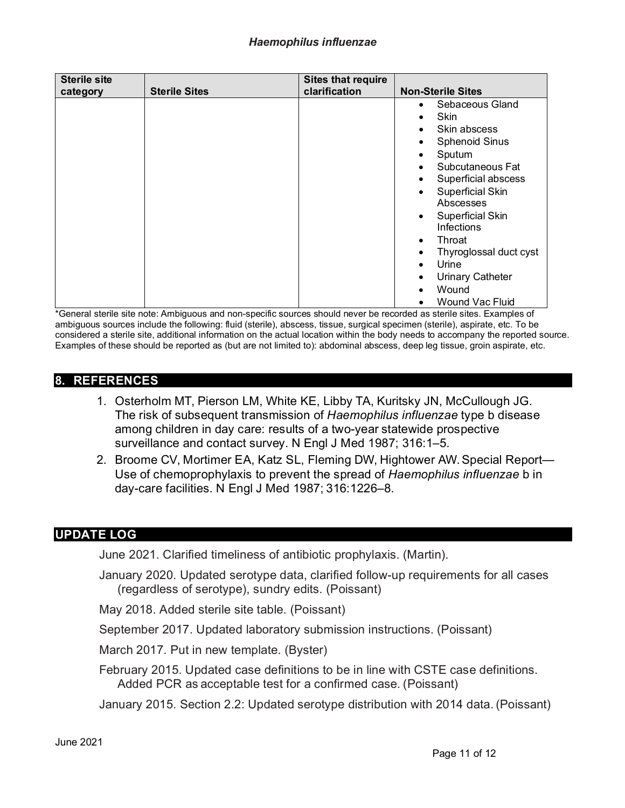| <b>Sterile site</b><br>category | <b>Sterile Sites</b> | <b>Sites that require</b><br>clarification | <b>Non-Sterile Sites</b>                                                                                                                                                                                                                                                                                                                                                                                                                                |
|---------------------------------|----------------------|--------------------------------------------|---------------------------------------------------------------------------------------------------------------------------------------------------------------------------------------------------------------------------------------------------------------------------------------------------------------------------------------------------------------------------------------------------------------------------------------------------------|
|                                 |                      |                                            | Sebaceous Gland<br>$\bullet$<br>Skin<br>$\bullet$<br>Skin abscess<br>$\bullet$<br><b>Sphenoid Sinus</b><br>$\bullet$<br>Sputum<br>$\bullet$<br>Subcutaneous Fat<br>$\bullet$<br>Superficial abscess<br>٠<br>Superficial Skin<br>$\bullet$<br>Abscesses<br>Superficial Skin<br>$\bullet$<br>Infections<br>Throat<br>$\bullet$<br>Thyroglossal duct cyst<br>Urine<br>$\bullet$<br><b>Urinary Catheter</b><br>Wound<br><b>Wound Vac Fluid</b><br>$\bullet$ |

\*General sterile site note: Ambiguous and non-specific sources should never be recorded as sterile sites. Examples of ambiguous sources include the following: fluid (sterile), abscess, tissue, surgical specimen (sterile), aspirate, etc. To be considered a sterile site, additional information on the actual location within the body needs to accompany the reported source. Examples of these should be reported as (but are not limited to): abdominal abscess, deep leg tissue, groin aspirate, etc.

#### **8. REFERENCES**

- 1. Osterholm MT, Pierson LM, White KE, Libby TA, Kuritsky JN, McCullough JG. The risk of subsequent transmission of *Haemophilus influenzae* type b disease among children in day care: results of a two-year statewide prospective surveillance and contact survey. N Engl J Med 1987; 316:1–5.
- 2. Broome CV, Mortimer EA, Katz SL, Fleming DW, Hightower AW. Special Report— Use of chemoprophylaxis to prevent the spread of *Haemophilus influenzae* b in day-care facilities. N Engl J Med 1987; 316:1226–8.

# **UPDATE LOG**

June 2021. Clarified timeliness of antibiotic prophylaxis. (Martin).

January 2020. Updated serotype data, clarified follow-up requirements for all cases (regardless of serotype), sundry edits. (Poissant)

May 2018. Added sterile site table. (Poissant)

September 2017. Updated laboratory submission instructions. (Poissant)

March 2017. Put in new template. (Byster)

February 2015. Updated case definitions to be in line with CSTE case definitions. Added PCR as acceptable test for a confirmed case. (Poissant)

January 2015. Section 2.2: Updated serotype distribution with 2014 data. (Poissant)